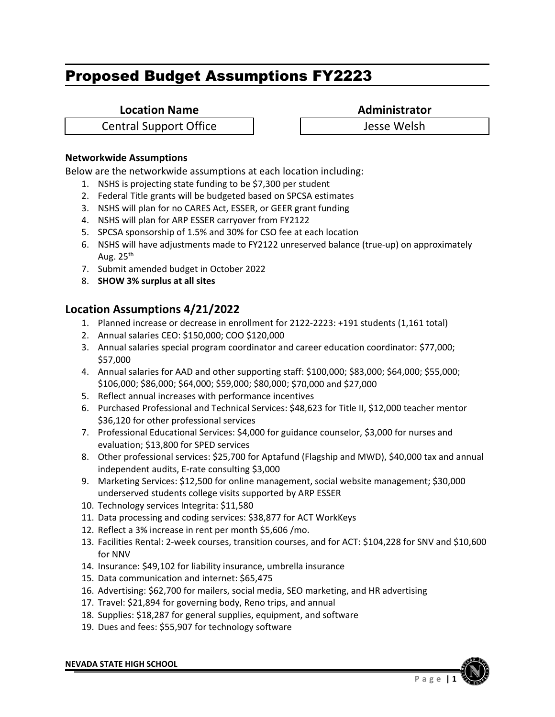**Location Name**<br> **Administrator** 

Central Support Office Jesse Welsh

#### **Networkwide Assumptions**

Below are the networkwide assumptions at each location including:

- 1. NSHS is projecting state funding to be \$7,300 per student
- 2. Federal Title grants will be budgeted based on SPCSA estimates
- 3. NSHS will plan for no CARES Act, ESSER, or GEER grant funding
- 4. NSHS will plan for ARP ESSER carryover from FY2122
- 5. SPCSA sponsorship of 1.5% and 30% for CSO fee at each location
- 6. NSHS will have adjustments made to FY2122 unreserved balance (true‐up) on approximately Aug.  $25<sup>th</sup>$
- 7. Submit amended budget in October 2022
- 8. **SHOW 3% surplus at all sites**

- 1. Planned increase or decrease in enrollment for 2122‐2223: +191 students (1,161 total)
- 2. Annual salaries CEO: \$150,000; COO \$120,000
- 3. Annual salaries special program coordinator and career education coordinator: \$77,000; \$57,000
- 4. Annual salaries for AAD and other supporting staff: \$100,000; \$83,000; \$64,000; \$55,000; \$106,000; \$86,000; \$64,000; \$59,000; \$80,000; \$70,000 and \$27,000
- 5. Reflect annual increases with performance incentives
- 6. Purchased Professional and Technical Services: \$48,623 for Title II, \$12,000 teacher mentor \$36,120 for other professional services
- 7. Professional Educational Services: \$4,000 for guidance counselor, \$3,000 for nurses and evaluation; \$13,800 for SPED services
- 8. Other professional services: \$25,700 for Aptafund (Flagship and MWD), \$40,000 tax and annual independent audits, E‐rate consulting \$3,000
- 9. Marketing Services: \$12,500 for online management, social website management; \$30,000 underserved students college visits supported by ARP ESSER
- 10. Technology services Integrita: \$11,580
- 11. Data processing and coding services: \$38,877 for ACT WorkKeys
- 12. Reflect a 3% increase in rent per month \$5,606 /mo.
- 13. Facilities Rental: 2‐week courses, transition courses, and for ACT: \$104,228 for SNV and \$10,600 for NNV
- 14. Insurance: \$49,102 for liability insurance, umbrella insurance
- 15. Data communication and internet: \$65,475
- 16. Advertising: \$62,700 for mailers, social media, SEO marketing, and HR advertising
- 17. Travel: \$21,894 for governing body, Reno trips, and annual
- 18. Supplies: \$18,287 for general supplies, equipment, and software
- 19. Dues and fees: \$55,907 for technology software

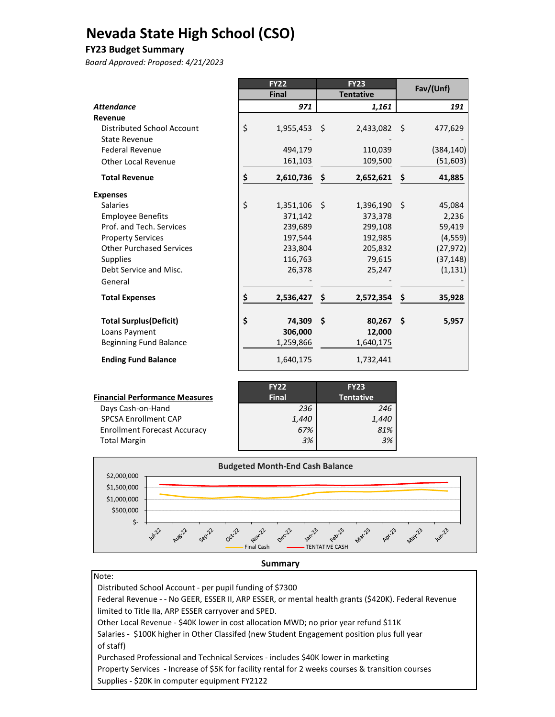# **Nevada State High School (CSO)**

#### **FY23 Budget Summary**

*Board Approved: Proposed: 4/21/2023*

|                                 | <b>FY22</b>     |      | <b>FY23</b>      |     | Fav/(Unf)  |
|---------------------------------|-----------------|------|------------------|-----|------------|
|                                 | <b>Final</b>    |      | <b>Tentative</b> |     |            |
| <b>Attendance</b>               | 971             |      | 1,161            |     | 191        |
| Revenue                         |                 |      |                  |     |            |
| Distributed School Account      | \$<br>1,955,453 | - \$ | 2,433,082        | - Ś | 477,629    |
| <b>State Revenue</b>            |                 |      |                  |     |            |
| <b>Federal Revenue</b>          | 494,179         |      | 110,039          |     | (384, 140) |
| <b>Other Local Revenue</b>      | 161,103         |      | 109,500          |     | (51, 603)  |
| <b>Total Revenue</b>            | \$<br>2,610,736 | \$   | 2,652,621        | \$  | 41,885     |
| <b>Expenses</b>                 |                 |      |                  |     |            |
| <b>Salaries</b>                 | \$<br>1,351,106 | - \$ | 1,396,190        | Ŝ.  | 45,084     |
| <b>Employee Benefits</b>        | 371,142         |      | 373,378          |     | 2,236      |
| Prof. and Tech. Services        | 239,689         |      | 299,108          |     | 59,419     |
| <b>Property Services</b>        | 197,544         |      | 192,985          |     | (4, 559)   |
| <b>Other Purchased Services</b> | 233,804         |      | 205,832          |     | (27, 972)  |
| <b>Supplies</b>                 | 116,763         |      | 79,615           |     | (37, 148)  |
| Debt Service and Misc.          | 26,378          |      | 25,247           |     | (1, 131)   |
| General                         |                 |      |                  |     |            |
| <b>Total Expenses</b>           | \$<br>2,536,427 | \$   | 2,572,354        | \$  | 35,928     |
| <b>Total Surplus (Deficit)</b>  | \$<br>74,309    | Š.   | 80,267           | Ŝ.  | 5,957      |
| Loans Payment                   | 306,000         |      | 12,000           |     |            |
| <b>Beginning Fund Balance</b>   | 1,259,866       |      | 1,640,175        |     |            |
| <b>Ending Fund Balance</b>      | 1,640,175       |      | 1,732,441        |     |            |

|                                       | <b>FY22</b>  | <b>FY23</b>      |
|---------------------------------------|--------------|------------------|
| <b>Financial Performance Measures</b> | <b>Final</b> | <b>Tentative</b> |
| Days Cash-on-Hand                     | 236          | 246              |
| SPCSA Enrollment CAP                  | 1,440        | 1,440            |
| <b>Enrollment Forecast Accuracy</b>   | 67%          | 81%              |
| <b>Total Margin</b>                   | 3%           | 3%               |
|                                       |              |                  |



#### **Summary**

Note:

 Distributed School Account ‐ per pupil funding of \$7300 Federal Revenue ‐ ‐ No GEER, ESSER II, ARP ESSER, or mental health grants (\$420K). Federal Revenue limited to Title IIa, ARP ESSER carryover and SPED. Other Local Revenue ‐ \$40K lower in cost allocation MWD; no prior year refund \$11K Salaries - \$100K higher in Other Classifed (new Student Engagement position plus full year of staff) Purchased Professional and Technical Services ‐ includes \$40K lower in marketing Property Services ‐ Increase of \$5K for facility rental for 2 weeks courses & transition courses Supplies ‐ \$20K in computer equipment FY2122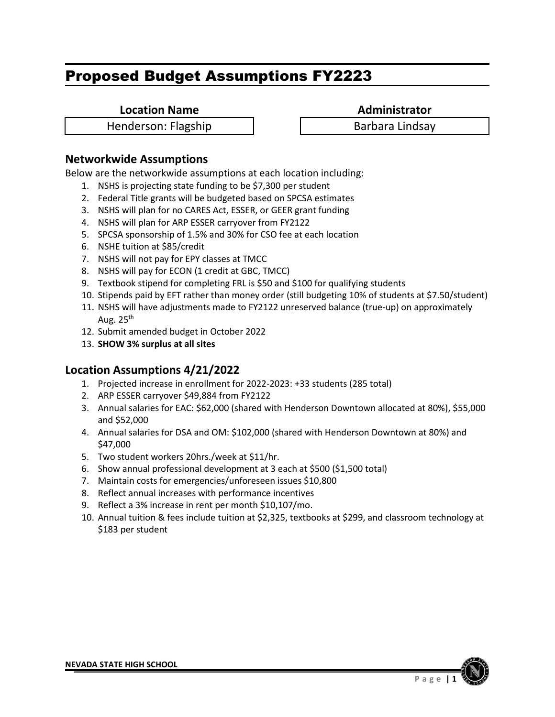**Location Name Administrator** 

Henderson: Flagship Henderson: Flagship Barbara Lindsay

# **Networkwide Assumptions**

Below are the networkwide assumptions at each location including:

- 1. NSHS is projecting state funding to be \$7,300 per student
- 2. Federal Title grants will be budgeted based on SPCSA estimates
- 3. NSHS will plan for no CARES Act, ESSER, or GEER grant funding
- 4. NSHS will plan for ARP ESSER carryover from FY2122
- 5. SPCSA sponsorship of 1.5% and 30% for CSO fee at each location
- 6. NSHE tuition at \$85/credit
- 7. NSHS will not pay for EPY classes at TMCC
- 8. NSHS will pay for ECON (1 credit at GBC, TMCC)
- 9. Textbook stipend for completing FRL is \$50 and \$100 for qualifying students
- 10. Stipends paid by EFT rather than money order (still budgeting 10% of students at \$7.50/student)
- 11. NSHS will have adjustments made to FY2122 unreserved balance (true-up) on approximately Aug.  $25<sup>th</sup>$
- 12. Submit amended budget in October 2022
- 13. **SHOW 3% surplus at all sites**

- 1. Projected increase in enrollment for 2022-2023: +33 students (285 total)
- 2. ARP ESSER carryover \$49,884 from FY2122
- 3. Annual salaries for EAC: \$62,000 (shared with Henderson Downtown allocated at 80%), \$55,000 and \$52,000
- 4. Annual salaries for DSA and OM: \$102,000 (shared with Henderson Downtown at 80%) and \$47,000
- 5. Two student workers 20hrs./week at \$11/hr.
- 6. Show annual professional development at 3 each at \$500 (\$1,500 total)
- 7. Maintain costs for emergencies/unforeseen issues \$10,800
- 8. Reflect annual increases with performance incentives
- 9. Reflect a 3% increase in rent per month \$10,107/mo.
- 10. Annual tuition & fees include tuition at \$2,325, textbooks at \$299, and classroom technology at \$183 per student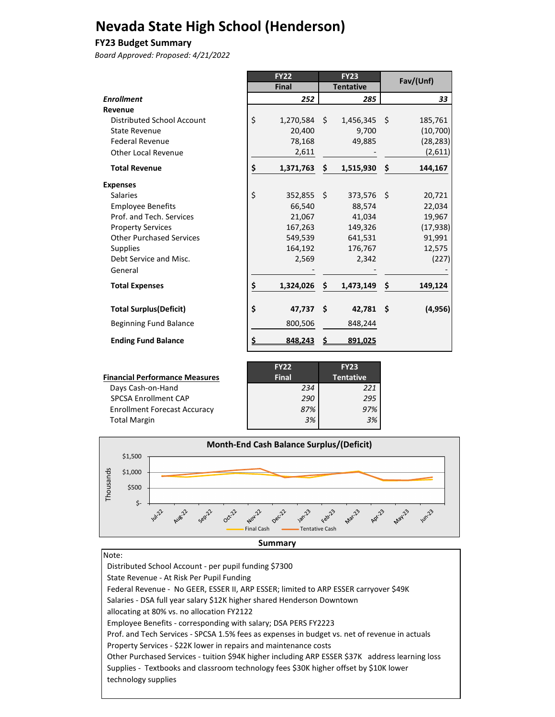# **Nevada State High School (Henderson)**

#### **FY23 Budget Summary**

*Board Approved: Proposed: 4/21/2022*

|                                 | <b>FY22</b> |              |    | <b>FY23</b>      |    | Fav/(Unf) |  |
|---------------------------------|-------------|--------------|----|------------------|----|-----------|--|
|                                 |             | <b>Final</b> |    | <b>Tentative</b> |    |           |  |
| <b>Enrollment</b>               |             | 252          |    | 285              |    | 33        |  |
| Revenue                         |             |              |    |                  |    |           |  |
| Distributed School Account      | \$          | 1,270,584    | S. | $1,456,345$ \$   |    | 185,761   |  |
| <b>State Revenue</b>            |             | 20,400       |    | 9,700            |    | (10, 700) |  |
| <b>Federal Revenue</b>          |             | 78,168       |    | 49,885           |    | (28, 283) |  |
| <b>Other Local Revenue</b>      |             | 2,611        |    |                  |    | (2,611)   |  |
| <b>Total Revenue</b>            | \$          | 1,371,763    | \$ | 1,515,930        | \$ | 144,167   |  |
| <b>Expenses</b>                 |             |              |    |                  |    |           |  |
| <b>Salaries</b>                 | \$          | 352,855 \$   |    | 373,576 \$       |    | 20,721    |  |
| <b>Employee Benefits</b>        |             | 66,540       |    | 88,574           |    | 22,034    |  |
| Prof. and Tech. Services        |             | 21,067       |    | 41,034           |    | 19,967    |  |
| <b>Property Services</b>        |             | 167,263      |    | 149,326          |    | (17, 938) |  |
| <b>Other Purchased Services</b> |             | 549,539      |    | 641,531          |    | 91,991    |  |
| <b>Supplies</b>                 |             | 164,192      |    | 176,767          |    | 12,575    |  |
| Debt Service and Misc.          |             | 2,569        |    | 2,342            |    | (227)     |  |
| General                         |             |              |    |                  |    |           |  |
| <b>Total Expenses</b>           | \$          | 1,324,026    | \$ | 1,473,149        | \$ | 149,124   |  |
| <b>Total Surplus (Deficit)</b>  | \$          | 47,737       | Ŝ. | $42,781$ \$      |    | (4, 956)  |  |
| <b>Beginning Fund Balance</b>   |             | 800,506      |    | 848,244          |    |           |  |
| <b>Ending Fund Balance</b>      | \$          | 848,243      | S  | 891,025          |    |           |  |

| Financial Performance Measures      |
|-------------------------------------|
| Days Cash-on-Hand                   |
| <b>SPCSA Enrollment CAP</b>         |
| <b>Enrollment Forecast Accuracy</b> |
| <b>Total Margin</b>                 |

|                                       | <b>FY22</b>  | <b>FY23</b>      |
|---------------------------------------|--------------|------------------|
| <b>Financial Performance Measures</b> | <b>Final</b> | <b>Tentative</b> |
| Days Cash-on-Hand                     | 234          | 221              |
| <b>SPCSA Enrollment CAP</b>           | 290          | 295              |
| <b>Enrollment Forecast Accuracy</b>   | 87%          | 97%              |
| <b>Total Margin</b>                   | 3%           | 3%               |
|                                       |              |                  |



#### Note:

٦

 Distributed School Account - per pupil funding \$7300 State Revenue - At Risk Per Pupil Funding Federal Revenue - No GEER, ESSER II, ARP ESSER; limited to ARP ESSER carryover \$49K Salaries - DSA full year salary \$12K higher shared Henderson Downtown allocating at 80% vs. no allocation FY2122 Employee Benefits - corresponding with salary; DSA PERS FY2223 Prof. and Tech Services - SPCSA 1.5% fees as expenses in budget vs. net of revenue in actuals Property Services - \$22K lower in repairs and maintenance costs Other Purchased Services - tuition \$94K higher including ARP ESSER \$37K address learning loss Supplies - Textbooks and classroom technology fees \$30K higher offset by \$10K lower technology supplies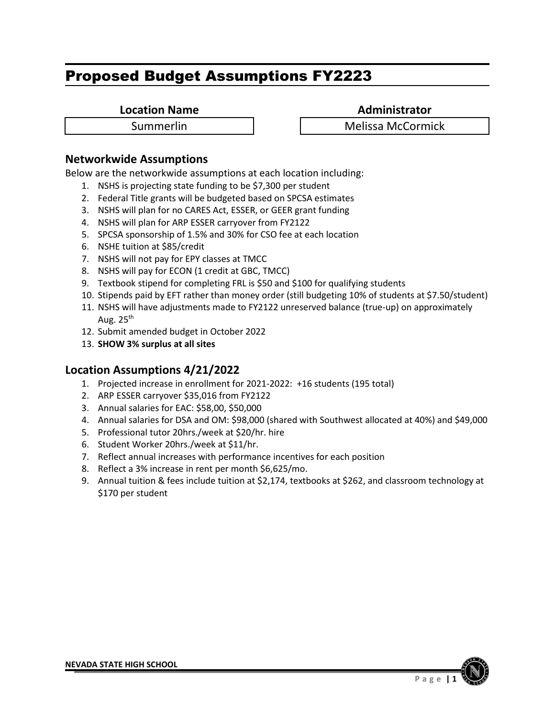**Location Name Administrator** 

Summerlin 1 | Melissa McCormick

# **Networkwide Assumptions**

Below are the networkwide assumptions at each location including:

- 1. NSHS is projecting state funding to be \$7,300 per student
- 2. Federal Title grants will be budgeted based on SPCSA estimates
- 3. NSHS will plan for no CARES Act, ESSER, or GEER grant funding
- 4. NSHS will plan for ARP ESSER carryover from FY2122
- 5. SPCSA sponsorship of 1.5% and 30% for CSO fee at each location
- 6. NSHE tuition at \$85/credit
- 7. NSHS will not pay for EPY classes at TMCC
- 8. NSHS will pay for ECON (1 credit at GBC, TMCC)
- 9. Textbook stipend for completing FRL is \$50 and \$100 for qualifying students
- 10. Stipends paid by EFT rather than money order (still budgeting 10% of students at \$7.50/student)
- 11. NSHS will have adjustments made to FY2122 unreserved balance (true-up) on approximately Aug.  $25<sup>th</sup>$
- 12. Submit amended budget in October 2022
- 13. **SHOW 3% surplus at all sites**

- 1. Projected increase in enrollment for 2021-2022: +16 students (195 total)
- 2. ARP ESSER carryover \$35,016 from FY2122
- 3. Annual salaries for EAC: \$58,00, \$50,000
- 4. Annual salaries for DSA and OM: \$98,000 (shared with Southwest allocated at 40%) and \$49,000
- 5. Professional tutor 20hrs./week at \$20/hr. hire
- 6. Student Worker 20hrs./week at \$11/hr.
- 7. Reflect annual increases with performance incentives for each position
- 8. Reflect a 3% increase in rent per month \$6,625/mo.
- 9. Annual tuition & fees include tuition at \$2,174, textbooks at \$262, and classroom technology at \$170 per student

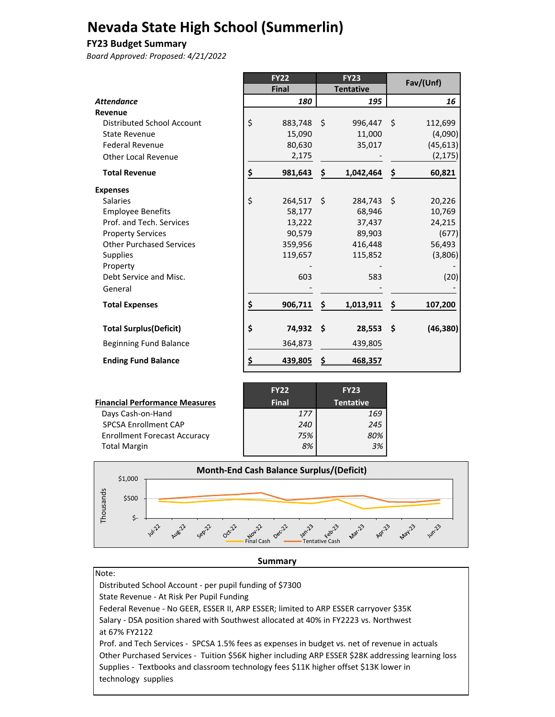# **Nevada State High School (Summerlin)**

#### **FY23 Budget Summary**

*Board Approved: Proposed: 4/21/2022*

|                                 |    | <b>FY22</b>  |     | <b>FY23</b>      |      | Fav/(Unf) |
|---------------------------------|----|--------------|-----|------------------|------|-----------|
|                                 |    | <b>Final</b> |     | <b>Tentative</b> |      |           |
| <b>Attendance</b>               |    | 180          |     | 195              |      | 16        |
| Revenue                         |    |              |     |                  |      |           |
| Distributed School Account      | \$ | 883,748      | -\$ | 996,447          | - \$ | 112,699   |
| <b>State Revenue</b>            |    | 15,090       |     | 11,000           |      | (4,090)   |
| <b>Federal Revenue</b>          |    | 80,630       |     | 35,017           |      | (45, 613) |
| <b>Other Local Revenue</b>      |    | 2,175        |     |                  |      | (2, 175)  |
| <b>Total Revenue</b>            | \$ | 981,643      | \$  | 1,042,464        | \$   | 60,821    |
| <b>Expenses</b>                 |    |              |     |                  |      |           |
| <b>Salaries</b>                 | \$ | 264,517      | - Ś | 284,743          | Ŝ.   | 20,226    |
| <b>Employee Benefits</b>        |    | 58,177       |     | 68,946           |      | 10,769    |
| Prof. and Tech. Services        |    | 13,222       |     | 37,437           |      | 24,215    |
| <b>Property Services</b>        |    | 90,579       |     | 89,903           |      | (677)     |
| <b>Other Purchased Services</b> |    | 359,956      |     | 416,448          |      | 56,493    |
| <b>Supplies</b>                 |    | 119,657      |     | 115,852          |      | (3,806)   |
| Property                        |    |              |     |                  |      |           |
| Debt Service and Misc.          |    | 603          |     | 583              |      | (20)      |
| General                         |    |              |     |                  |      |           |
| <b>Total Expenses</b>           | \$ | 906,711      | \$  | 1,013,911        | \$   | 107,200   |
| <b>Total Surplus (Deficit)</b>  | \$ | 74,932       | \$. | 28,553           | -\$  | (46, 380) |
| <b>Beginning Fund Balance</b>   |    | 364,873      |     | 439,805          |      |           |
| <b>Ending Fund Balance</b>      | S  | 439,805      |     | 468,357          |      |           |

|                                       | <b>FY22</b>  | <b>FY23</b>      |
|---------------------------------------|--------------|------------------|
| <b>Financial Performance Measures</b> | <b>Final</b> | <b>Tentative</b> |
| Days Cash-on-Hand                     | 177          | 169              |
| <b>SPCSA Enrollment CAP</b>           | 240          | 245              |
| <b>Enrollment Forecast Accuracy</b>   | 75%          | 80%              |
| <b>Total Margin</b>                   | 8%           | 3%               |
|                                       |              |                  |



#### **Summary**

| ۰.<br>×<br>× |  |
|--------------|--|

 Distributed School Account ‐ per pupil funding of \$7300 State Revenue ‐ At Risk Per Pupil Funding Federal Revenue ‐ No GEER, ESSER II, ARP ESSER; limited to ARP ESSER carryover \$35K Salary ‐ DSA position shared with Southwest allocated at 40% in FY2223 vs. Northwest at 67% FY2122 Prof. and Tech Services ‐ SPCSA 1.5% fees as expenses in budget vs. net of revenue in actuals Other Purchased Services ‐ Tuition \$56K higher including ARP ESSER \$28K addressing learning loss Supplies ‐ Textbooks and classroom technology fees \$11K higher offset \$13K lower in technology supplies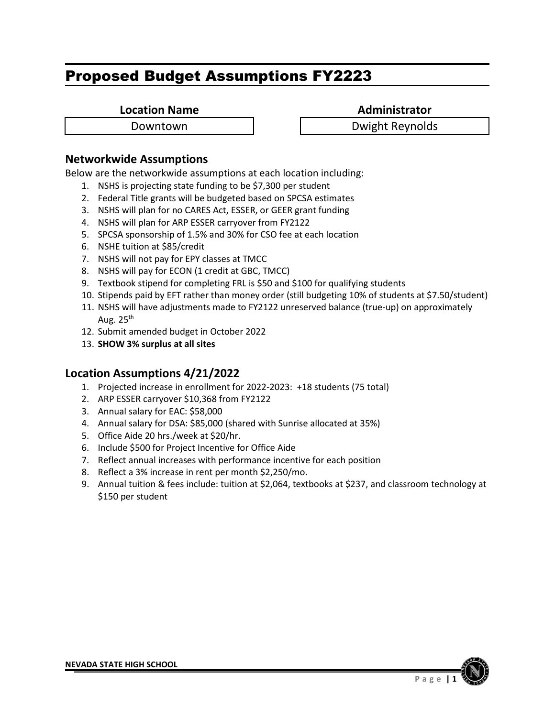**Location Name Administrator** 

Downtown Dwight Reynolds

# **Networkwide Assumptions**

Below are the networkwide assumptions at each location including:

- 1. NSHS is projecting state funding to be \$7,300 per student
- 2. Federal Title grants will be budgeted based on SPCSA estimates
- 3. NSHS will plan for no CARES Act, ESSER, or GEER grant funding
- 4. NSHS will plan for ARP ESSER carryover from FY2122
- 5. SPCSA sponsorship of 1.5% and 30% for CSO fee at each location
- 6. NSHE tuition at \$85/credit
- 7. NSHS will not pay for EPY classes at TMCC
- 8. NSHS will pay for ECON (1 credit at GBC, TMCC)
- 9. Textbook stipend for completing FRL is \$50 and \$100 for qualifying students
- 10. Stipends paid by EFT rather than money order (still budgeting 10% of students at \$7.50/student)
- 11. NSHS will have adjustments made to FY2122 unreserved balance (true-up) on approximately Aug.  $25<sup>th</sup>$
- 12. Submit amended budget in October 2022
- 13. **SHOW 3% surplus at all sites**

- 1. Projected increase in enrollment for 2022-2023: +18 students (75 total)
- 2. ARP ESSER carryover \$10,368 from FY2122
- 3. Annual salary for EAC: \$58,000
- 4. Annual salary for DSA: \$85,000 (shared with Sunrise allocated at 35%)
- 5. Office Aide 20 hrs./week at \$20/hr.
- 6. Include \$500 for Project Incentive for Office Aide
- 7. Reflect annual increases with performance incentive for each position
- 8. Reflect a 3% increase in rent per month \$2,250/mo.
- 9. Annual tuition & fees include: tuition at \$2,064, textbooks at \$237, and classroom technology at \$150 per student

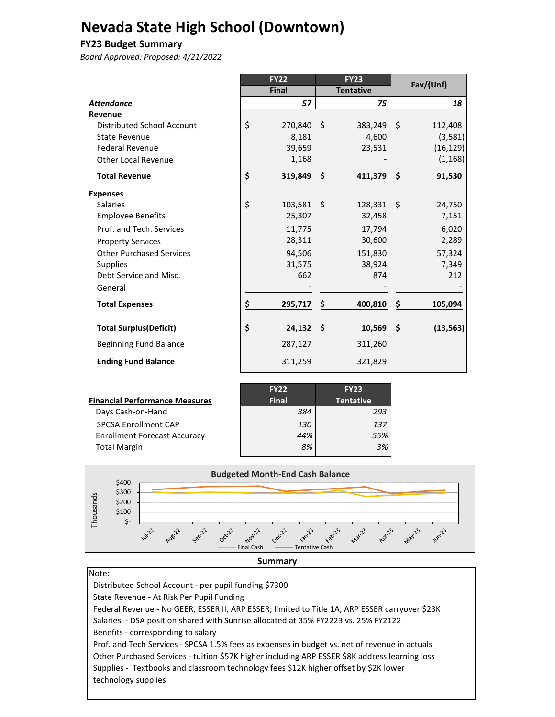# **Nevada State High School (Downtown)**

#### **FY23 Budget Summary**

*Board Approved: Proposed: 4/21/2022*

|                                 | <b>FY22</b>        | <b>FY23</b>       |      | Fav/(Unf) |
|---------------------------------|--------------------|-------------------|------|-----------|
|                                 | <b>Final</b>       | <b>Tentative</b>  |      |           |
| <b>Attendance</b>               | 57                 | 75                |      | 18        |
| Revenue                         |                    |                   |      |           |
| Distributed School Account      | \$<br>270,840 \$   | 383,249           | - \$ | 112,408   |
| <b>State Revenue</b>            | 8,181              | 4,600             |      | (3,581)   |
| <b>Federal Revenue</b>          | 39,659             | 23,531            |      | (16, 129) |
| <b>Other Local Revenue</b>      | 1,168              |                   |      | (1, 168)  |
| <b>Total Revenue</b>            | \$<br>319,849      | \$<br>411,379     | \$   | 91,530    |
| <b>Expenses</b>                 |                    |                   |      |           |
| <b>Salaries</b>                 | \$<br>$103,581$ \$ | $128,331 \quad $$ |      | 24,750    |
| <b>Employee Benefits</b>        | 25,307             | 32,458            |      | 7,151     |
| Prof. and Tech. Services        | 11,775             | 17,794            |      | 6,020     |
| <b>Property Services</b>        | 28,311             | 30,600            |      | 2,289     |
| <b>Other Purchased Services</b> | 94,506             | 151,830           |      | 57,324    |
| <b>Supplies</b>                 | 31,575             | 38,924            |      | 7,349     |
| Debt Service and Misc.          | 662                | 874               |      | 212       |
| General                         |                    |                   |      |           |
| <b>Total Expenses</b>           | \$<br>295,717      | \$<br>400,810     | \$   | 105,094   |
| <b>Total Surplus (Deficit)</b>  | \$<br>$24,132$ \$  | 10,569            | - \$ | (13, 563) |
| <b>Beginning Fund Balance</b>   | 287,127            | 311,260           |      |           |
| <b>Ending Fund Balance</b>      | 311,259            | 321,829           |      |           |

| <b>Financial Performance Measures</b> | <b>FY22</b><br><b>Final</b> | <b>FY23</b><br><b>Tentative</b> |
|---------------------------------------|-----------------------------|---------------------------------|
| Days Cash-on-Hand                     | 384                         | 293                             |
| <b>SPCSA Enrollment CAP</b>           | 130                         | 137                             |
| <b>Enrollment Forecast Accuracy</b>   | 44%                         | 55%                             |
| <b>Total Margin</b>                   | 8%                          | 3%                              |





Note: Distributed School Account ‐ per pupil funding \$7300 State Revenue ‐ At Risk Per Pupil Funding Federal Revenue ‐ No GEER, ESSER II, ARP ESSER; limited to Title 1A, ARP ESSER carryover \$23K Salaries ‐ DSA position shared with Sunrise allocated at 35% FY2223 vs. 25% FY2122 Benefits ‐ corresponding to salary Prof. and Tech Services ‐ SPCSA 1.5% fees as expenses in budget vs. net of revenue in actuals Other Purchased Services ‐ tuition \$57K higher including ARP ESSER \$8K address learning loss Supplies ‐ Textbooks and classroom technology fees \$12K higher offset by \$2K lower technology supplies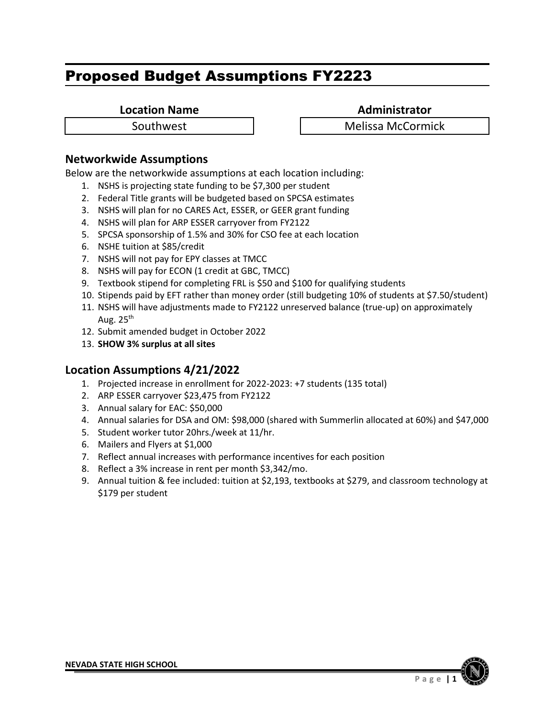**Location Name Administrator** 

Southwest **Network Melissa McCormick** 

# **Networkwide Assumptions**

Below are the networkwide assumptions at each location including:

- 1. NSHS is projecting state funding to be \$7,300 per student
- 2. Federal Title grants will be budgeted based on SPCSA estimates
- 3. NSHS will plan for no CARES Act, ESSER, or GEER grant funding
- 4. NSHS will plan for ARP ESSER carryover from FY2122
- 5. SPCSA sponsorship of 1.5% and 30% for CSO fee at each location
- 6. NSHE tuition at \$85/credit
- 7. NSHS will not pay for EPY classes at TMCC
- 8. NSHS will pay for ECON (1 credit at GBC, TMCC)
- 9. Textbook stipend for completing FRL is \$50 and \$100 for qualifying students
- 10. Stipends paid by EFT rather than money order (still budgeting 10% of students at \$7.50/student)
- 11. NSHS will have adjustments made to FY2122 unreserved balance (true-up) on approximately Aug.  $25<sup>th</sup>$
- 12. Submit amended budget in October 2022
- 13. **SHOW 3% surplus at all sites**

- 1. Projected increase in enrollment for 2022-2023: +7 students (135 total)
- 2. ARP ESSER carryover \$23,475 from FY2122
- 3. Annual salary for EAC: \$50,000
- 4. Annual salaries for DSA and OM: \$98,000 (shared with Summerlin allocated at 60%) and \$47,000
- 5. Student worker tutor 20hrs./week at 11/hr.
- 6. Mailers and Flyers at \$1,000
- 7. Reflect annual increases with performance incentives for each position
- 8. Reflect a 3% increase in rent per month \$3,342/mo.
- 9. Annual tuition & fee included: tuition at \$2,193, textbooks at \$279, and classroom technology at \$179 per student

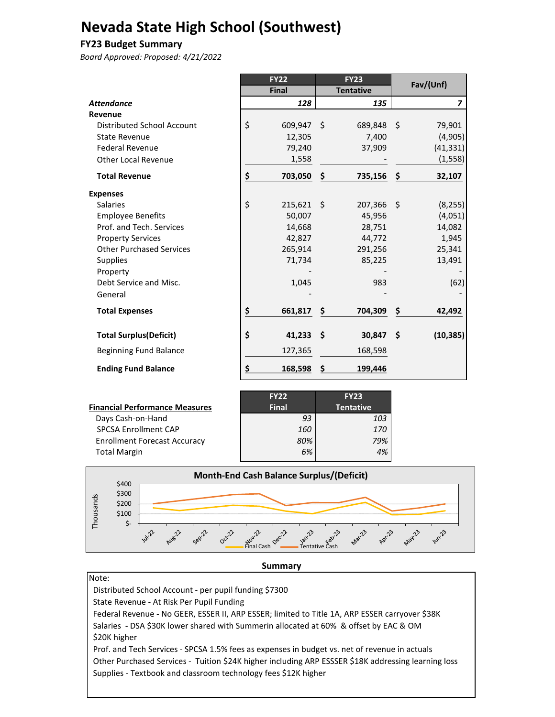# **Nevada State High School (Southwest)**

#### **FY23 Budget Summary**

*Board Approved: Proposed: 4/21/2022*

|                                 |    | <b>FY22</b>  |      | <b>FY23</b>      |     | Fav/(Unf)      |
|---------------------------------|----|--------------|------|------------------|-----|----------------|
|                                 |    | <b>Final</b> |      | <b>Tentative</b> |     |                |
| <b>Attendance</b>               |    | 128          |      | 135              |     | $\overline{z}$ |
| Revenue                         |    |              |      |                  |     |                |
| Distributed School Account      | \$ | 609,947 \$   |      | 689,848          | -\$ | 79,901         |
| <b>State Revenue</b>            |    | 12,305       |      | 7,400            |     | (4,905)        |
| <b>Federal Revenue</b>          |    | 79,240       |      | 37,909           |     | (41, 331)      |
| Other Local Revenue             |    | 1,558        |      |                  |     | (1, 558)       |
| <b>Total Revenue</b>            | \$ | 703,050      | \$   | 735,156          | \$  | 32,107         |
| <b>Expenses</b>                 |    |              |      |                  |     |                |
| <b>Salaries</b>                 | \$ | $215,621$ \$ |      | 207,366          | -\$ | (8, 255)       |
| <b>Employee Benefits</b>        |    | 50,007       |      | 45,956           |     | (4,051)        |
| Prof. and Tech. Services        |    | 14,668       |      | 28,751           |     | 14,082         |
| <b>Property Services</b>        |    | 42,827       |      | 44,772           |     | 1,945          |
| <b>Other Purchased Services</b> |    | 265,914      |      | 291,256          |     | 25,341         |
| <b>Supplies</b>                 |    | 71,734       |      | 85,225           |     | 13,491         |
| Property                        |    |              |      |                  |     |                |
| Debt Service and Misc.          |    | 1,045        |      | 983              |     | (62)           |
| General                         |    |              |      |                  |     |                |
| <b>Total Expenses</b>           | \$ | 661,817      | - \$ | 704,309          | \$  | 42,492         |
| <b>Total Surplus (Deficit)</b>  | \$ | 41,233       | - \$ | 30,847           | \$. | (10, 385)      |
| <b>Beginning Fund Balance</b>   |    | 127,365      |      | 168,598          |     |                |
| <b>Ending Fund Balance</b>      | S  | 168,598      |      | 199,446          |     |                |

|                                       | <b>FY22</b>  | <b>FY23</b>      |
|---------------------------------------|--------------|------------------|
| <b>Financial Performance Measures</b> | <b>Final</b> | <b>Tentative</b> |
| Days Cash-on-Hand                     | 93           | 103              |
| <b>SPCSA Enrollment CAP</b>           | 160          | 170              |
| <b>Enrollment Forecast Accuracy</b>   | 80%          | 79%              |
| <b>Total Margin</b>                   | 6%           | 4%               |
|                                       |              |                  |



#### **Summary**

Note: Distributed School Account ‐ per pupil funding \$7300 State Revenue ‐ At Risk Per Pupil Funding Federal Revenue ‐ No GEER, ESSER II, ARP ESSER; limited to Title 1A, ARP ESSER carryover \$38K Salaries ‐ DSA \$30K lower shared with Summerin allocated at 60% & offset by EAC & OM \$20K higher Prof. and Tech Services ‐ SPCSA 1.5% fees as expenses in budget vs. net of revenue in actuals Other Purchased Services ‐ Tuition \$24K higher including ARP ESSSER \$18K addressing learning loss Supplies ‐ Textbook and classroom technology fees \$12K higher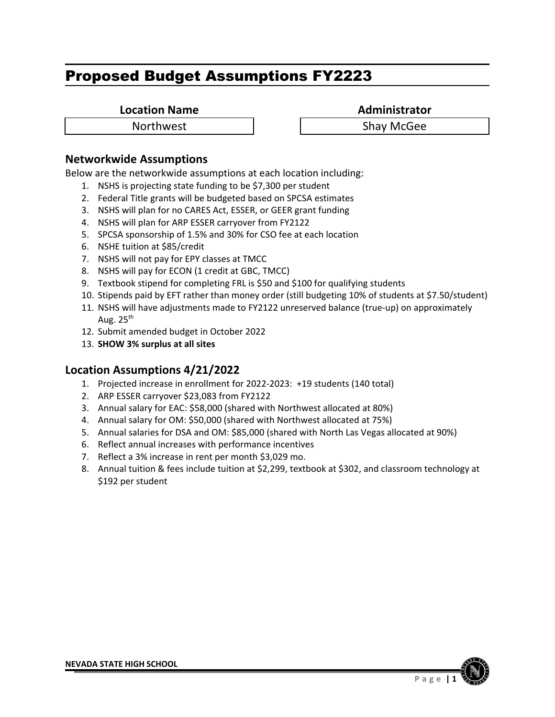**Location Name**<br> **Administrator** 

Northwest **1** 1 Shay McGee

### **Networkwide Assumptions**

Below are the networkwide assumptions at each location including:

- 1. NSHS is projecting state funding to be \$7,300 per student
- 2. Federal Title grants will be budgeted based on SPCSA estimates
- 3. NSHS will plan for no CARES Act, ESSER, or GEER grant funding
- 4. NSHS will plan for ARP ESSER carryover from FY2122
- 5. SPCSA sponsorship of 1.5% and 30% for CSO fee at each location
- 6. NSHE tuition at \$85/credit
- 7. NSHS will not pay for EPY classes at TMCC
- 8. NSHS will pay for ECON (1 credit at GBC, TMCC)
- 9. Textbook stipend for completing FRL is \$50 and \$100 for qualifying students
- 10. Stipends paid by EFT rather than money order (still budgeting 10% of students at \$7.50/student)
- 11. NSHS will have adjustments made to FY2122 unreserved balance (true-up) on approximately Aug.  $25<sup>th</sup>$
- 12. Submit amended budget in October 2022
- 13. **SHOW 3% surplus at all sites**

- 1. Projected increase in enrollment for 2022‐2023: +19 students (140 total)
- 2. ARP ESSER carryover \$23,083 from FY2122
- 3. Annual salary for EAC: \$58,000 (shared with Northwest allocated at 80%)
- 4. Annual salary for OM: \$50,000 (shared with Northwest allocated at 75%)
- 5. Annual salaries for DSA and OM: \$85,000 (shared with North Las Vegas allocated at 90%)
- 6. Reflect annual increases with performance incentives
- 7. Reflect a 3% increase in rent per month \$3,029 mo.
- 8. Annual tuition & fees include tuition at \$2,299, textbook at \$302, and classroom technology at \$192 per student

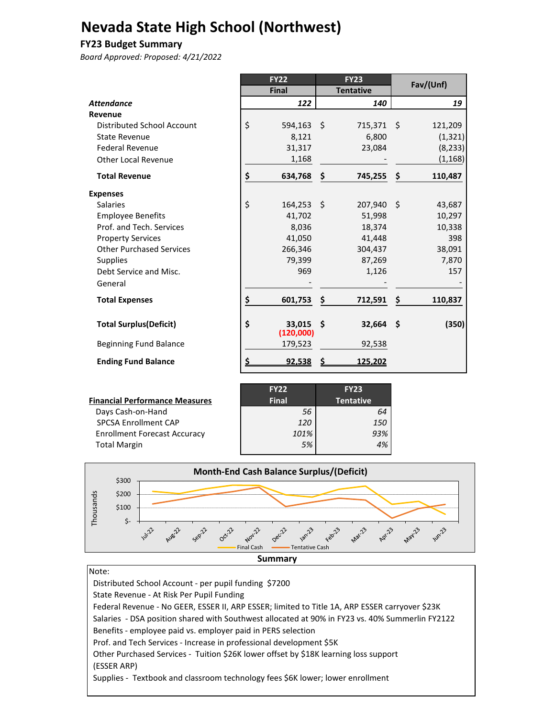# **Nevada State High School (Northwest)**

#### **FY23 Budget Summary**

*Board Approved: Proposed: 4/21/2022*

|                                 |           | <b>FY22</b>            |     | <b>FY23</b>      | Fav/(Unf)     |
|---------------------------------|-----------|------------------------|-----|------------------|---------------|
|                                 |           | <b>Final</b>           |     | <b>Tentative</b> |               |
| <b>Attendance</b>               |           | 122                    |     | 140              | 19            |
| Revenue                         |           |                        |     |                  |               |
| Distributed School Account      | \$        | 594,163 \$             |     | 715,371 \$       | 121,209       |
| State Revenue                   |           | 8,121                  |     | 6,800            | (1, 321)      |
| <b>Federal Revenue</b>          |           | 31,317                 |     | 23,084           | (8, 233)      |
| <b>Other Local Revenue</b>      |           | 1,168                  |     |                  | (1, 168)      |
| <b>Total Revenue</b>            | \$        | 634,768                | -\$ | 745,255          | \$<br>110,487 |
| <b>Expenses</b>                 |           |                        |     |                  |               |
| <b>Salaries</b>                 | \$        | 164,253 \$             |     | 207,940 \$       | 43,687        |
| <b>Employee Benefits</b>        |           | 41,702                 |     | 51,998           | 10,297        |
| Prof. and Tech. Services        |           | 8,036                  |     | 18,374           | 10,338        |
| <b>Property Services</b>        |           | 41,050                 |     | 41,448           | 398           |
| <b>Other Purchased Services</b> |           | 266,346                |     | 304,437          | 38,091        |
| <b>Supplies</b>                 |           | 79,399                 |     | 87,269           | 7,870         |
| Debt Service and Misc.          |           | 969                    |     | 1,126            | 157           |
| General                         |           |                        |     |                  |               |
| <b>Total Expenses</b>           | \$        | 601,753                | \$  | 712,591          | \$<br>110,837 |
| <b>Total Surplus (Deficit)</b>  | \$        | 33.015 \$<br>(120,000) |     | $32,664$ \$      | (350)         |
| <b>Beginning Fund Balance</b>   |           | 179,523                |     | 92,538           |               |
| <b>Ending Fund Balance</b>      | <u>\$</u> | 92,538                 |     | 125,202          |               |

| <b>Financial Performance Measures</b> | <b>FY22</b><br><b>Final</b> | <b>FY23</b><br><b>Tentative</b> |
|---------------------------------------|-----------------------------|---------------------------------|
| Days Cash-on-Hand                     | 56                          | 64                              |
| <b>SPCSA Enrollment CAP</b>           | 120                         | <i>150</i>                      |
| <b>Enrollment Forecast Accuracy</b>   | 101%                        | 93%                             |
| <b>Total Margin</b>                   | 5%                          |                                 |



#### Note:

 Distributed School Account ‐ per pupil funding \$7200 State Revenue ‐ At Risk Per Pupil Funding Federal Revenue ‐ No GEER, ESSER II, ARP ESSER; limited to Title 1A, ARP ESSER carryover \$23K Salaries ‐ DSA position shared with Southwest allocated at 90% in FY23 vs. 40% Summerlin FY2122 Benefits ‐ employee paid vs. employer paid in PERS selection Prof. and Tech Services ‐ Increase in professional development \$5K Other Purchased Services - Tuition \$26K lower offset by \$18K learning loss support (ESSER ARP) Supplies ‐ Textbook and classroom technology fees \$6K lower; lower enrollment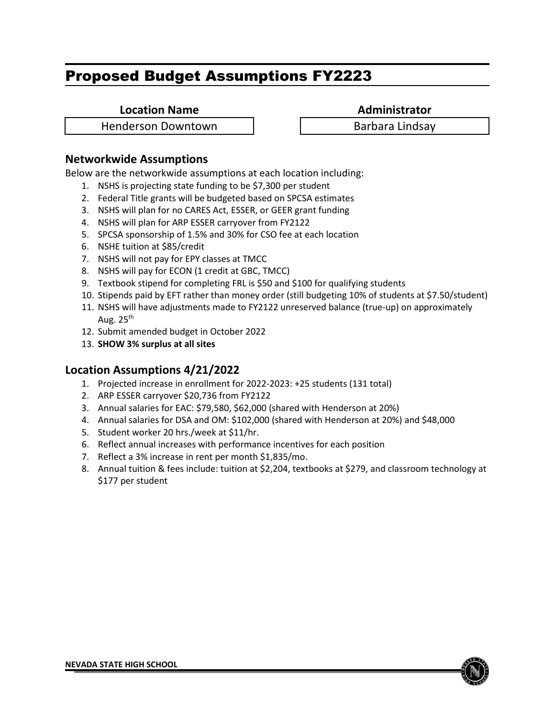**Location Name Administrator** 

Henderson Downtown Telectric Lindsay

# **Networkwide Assumptions**

Below are the networkwide assumptions at each location including:

- 1. NSHS is projecting state funding to be \$7,300 per student
- 2. Federal Title grants will be budgeted based on SPCSA estimates
- 3. NSHS will plan for no CARES Act, ESSER, or GEER grant funding
- 4. NSHS will plan for ARP ESSER carryover from FY2122
- 5. SPCSA sponsorship of 1.5% and 30% for CSO fee at each location
- 6. NSHE tuition at \$85/credit
- 7. NSHS will not pay for EPY classes at TMCC
- 8. NSHS will pay for ECON (1 credit at GBC, TMCC)
- 9. Textbook stipend for completing FRL is \$50 and \$100 for qualifying students
- 10. Stipends paid by EFT rather than money order (still budgeting 10% of students at \$7.50/student)
- 11. NSHS will have adjustments made to FY2122 unreserved balance (true-up) on approximately Aug.  $25<sup>th</sup>$
- 12. Submit amended budget in October 2022
- 13. **SHOW 3% surplus at all sites**

- 1. Projected increase in enrollment for 2022-2023: +25 students (131 total)
- 2. ARP ESSER carryover \$20,736 from FY2122
- 3. Annual salaries for EAC: \$79,580, \$62,000 (shared with Henderson at 20%)
- 4. Annual salaries for DSA and OM: \$102,000 (shared with Henderson at 20%) and \$48,000
- 5. Student worker 20 hrs./week at \$11/hr.
- 6. Reflect annual increases with performance incentives for each position
- 7. Reflect a 3% increase in rent per month \$1,835/mo.
- 8. Annual tuition & fees include: tuition at \$2,204, textbooks at \$279, and classroom technology at \$177 per student

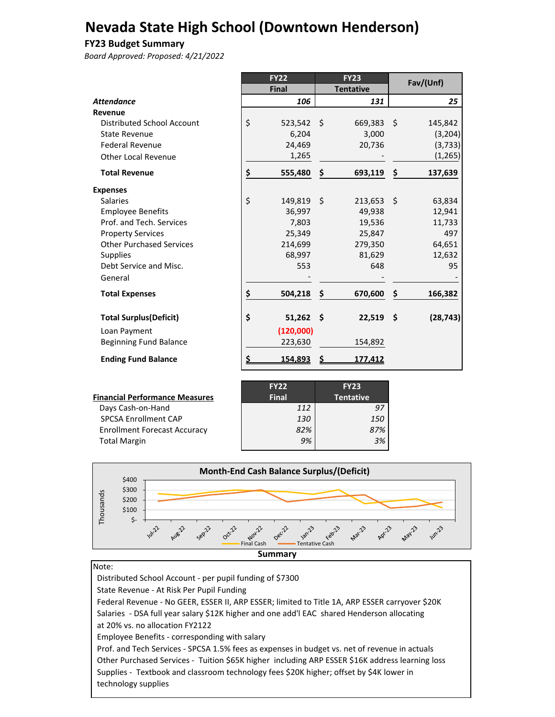# **Nevada State High School (Downtown Henderson)**

#### **FY23 Budget Summary**

*Board Approved: Proposed: 4/21/2022*

|                                   | <b>FY22</b>       | <b>FY23</b>      |     | Fav/(Unf) |
|-----------------------------------|-------------------|------------------|-----|-----------|
|                                   | <b>Final</b>      | <b>Tentative</b> |     |           |
| <b>Attendance</b>                 | 106               | 131              |     | 25        |
| Revenue                           |                   |                  |     |           |
| <b>Distributed School Account</b> | \$<br>523,542 \$  | 669,383          | -\$ | 145,842   |
| <b>State Revenue</b>              | 6,204             | 3,000            |     | (3, 204)  |
| <b>Federal Revenue</b>            | 24,469            | 20,736           |     | (3, 733)  |
| <b>Other Local Revenue</b>        | 1,265             |                  |     | (1, 265)  |
| <b>Total Revenue</b>              | \$<br>555,480     | \$<br>693,119    | \$  | 137,639   |
| <b>Expenses</b>                   |                   |                  |     |           |
| <b>Salaries</b>                   | \$<br>149,819 \$  | $213,653$ \$     |     | 63,834    |
| <b>Employee Benefits</b>          | 36,997            | 49,938           |     | 12,941    |
| Prof. and Tech. Services          | 7,803             | 19,536           |     | 11,733    |
| <b>Property Services</b>          | 25,349            | 25,847           |     | 497       |
| <b>Other Purchased Services</b>   | 214,699           | 279,350          |     | 64,651    |
| <b>Supplies</b>                   | 68,997            | 81,629           |     | 12,632    |
| Debt Service and Misc.            | 553               | 648              |     | 95        |
| General                           |                   |                  |     |           |
| <b>Total Expenses</b>             | \$<br>504,218     | \$<br>670,600    | \$  | 166,382   |
| <b>Total Surplus (Deficit)</b>    | \$<br>$51,262$ \$ | $22,519$ \$      |     | (28, 743) |
| Loan Payment                      | (120,000)         |                  |     |           |
| <b>Beginning Fund Balance</b>     | 223,630           | 154,892          |     |           |
| <b>Ending Fund Balance</b>        | \$<br>154,893     | 177,412          |     |           |

|                                       | <b>FY22</b>  | <b>FY23</b>      |  |
|---------------------------------------|--------------|------------------|--|
| <b>Financial Performance Measures</b> | <b>Final</b> | <b>Tentative</b> |  |
| Days Cash-on-Hand                     | 112          | 97               |  |
| <b>SPCSA Enrollment CAP</b>           | 130          | <i>150</i>       |  |
| <b>Enrollment Forecast Accuracy</b>   | 82%          | 87%              |  |
| <b>Total Margin</b>                   | 9%           | 3%               |  |
|                                       |              |                  |  |



#### Note:

 Distributed School Account ‐ per pupil funding of \$7300 State Revenue ‐ At Risk Per Pupil Funding Federal Revenue ‐ No GEER, ESSER II, ARP ESSER; limited to Title 1A, ARP ESSER carryover \$20K Salaries ‐ DSA full year salary \$12K higher and one add'l EAC shared Henderson allocating at 20% vs. no allocation FY2122 Employee Benefits ‐ corresponding with salary Prof. and Tech Services ‐ SPCSA 1.5% fees as expenses in budget vs. net of revenue in actuals Other Purchased Services ‐ Tuition \$65K higher including ARP ESSER \$16K address learning loss Supplies ‐ Textbook and classroom technology fees \$20K higher; offset by \$4K lower in technology supplies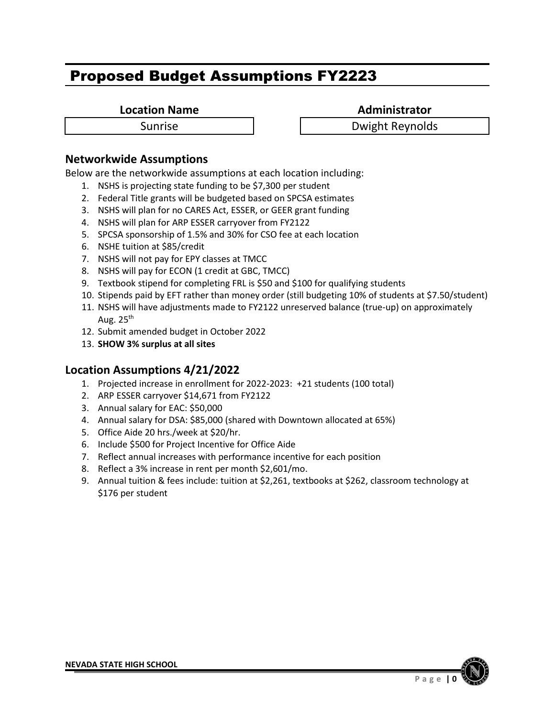**Location Name Administrator** 

Sunrise **National Sunrise Dwight Reynolds** 

# **Networkwide Assumptions**

Below are the networkwide assumptions at each location including:

- 1. NSHS is projecting state funding to be \$7,300 per student
- 2. Federal Title grants will be budgeted based on SPCSA estimates
- 3. NSHS will plan for no CARES Act, ESSER, or GEER grant funding
- 4. NSHS will plan for ARP ESSER carryover from FY2122
- 5. SPCSA sponsorship of 1.5% and 30% for CSO fee at each location
- 6. NSHE tuition at \$85/credit
- 7. NSHS will not pay for EPY classes at TMCC
- 8. NSHS will pay for ECON (1 credit at GBC, TMCC)
- 9. Textbook stipend for completing FRL is \$50 and \$100 for qualifying students
- 10. Stipends paid by EFT rather than money order (still budgeting 10% of students at \$7.50/student)
- 11. NSHS will have adjustments made to FY2122 unreserved balance (true-up) on approximately Aug.  $25<sup>th</sup>$
- 12. Submit amended budget in October 2022
- 13. **SHOW 3% surplus at all sites**

- 1. Projected increase in enrollment for 2022-2023: +21 students (100 total)
- 2. ARP ESSER carryover \$14,671 from FY2122
- 3. Annual salary for EAC: \$50,000
- 4. Annual salary for DSA: \$85,000 (shared with Downtown allocated at 65%)
- 5. Office Aide 20 hrs./week at \$20/hr.
- 6. Include \$500 for Project Incentive for Office Aide
- 7. Reflect annual increases with performance incentive for each position
- 8. Reflect a 3% increase in rent per month \$2,601/mo.
- 9. Annual tuition & fees include: tuition at \$2,261, textbooks at \$262, classroom technology at \$176 per student

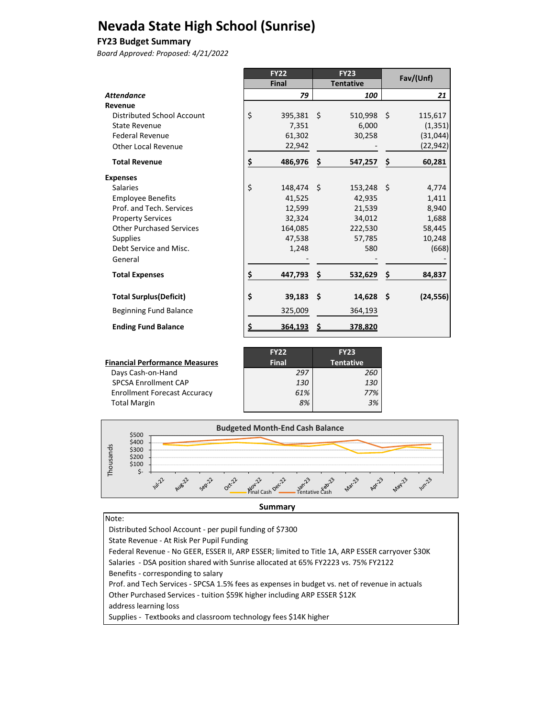# **Nevada State High School (Sunrise)**

#### **FY23 Budget Summary**

*Board Approved: Proposed: 4/21/2022*

|                                 |           | <b>FY22</b>  |      | <b>FY23</b>      |     | Fav/(Unf) |
|---------------------------------|-----------|--------------|------|------------------|-----|-----------|
|                                 |           | Final        |      | <b>Tentative</b> |     |           |
| <b>Attendance</b>               |           | 79           |      | 100              |     | 21        |
| Revenue                         |           |              |      |                  |     |           |
| Distributed School Account      | \$        | $395,381$ \$ |      | $510,998$ \$     |     | 115,617   |
| State Revenue                   |           | 7,351        |      | 6.000            |     | (1, 351)  |
| <b>Federal Revenue</b>          |           | 61,302       |      | 30,258           |     | (31,044)  |
| Other Local Revenue             |           | 22,942       |      |                  |     | (22, 942) |
| <b>Total Revenue</b>            | \$        | 486,976      | -\$  | 547,257          | \$  | 60,281    |
| <b>Expenses</b>                 |           |              |      |                  |     |           |
| Salaries                        | \$        | 148,474 \$   |      | $153,248$ \$     |     | 4,774     |
| <b>Employee Benefits</b>        |           | 41,525       |      | 42,935           |     | 1,411     |
| Prof. and Tech. Services        |           | 12,599       |      | 21,539           |     | 8,940     |
| <b>Property Services</b>        |           | 32,324       |      | 34.012           |     | 1,688     |
| <b>Other Purchased Services</b> |           | 164,085      |      | 222,530          |     | 58,445    |
| <b>Supplies</b>                 |           | 47,538       |      | 57,785           |     | 10,248    |
| Debt Service and Misc.          |           | 1,248        |      | 580              |     | (668)     |
| General                         |           |              |      |                  |     |           |
| <b>Total Expenses</b>           | \$        | 447,793      | \$   | 532,629          | \$  | 84,837    |
| <b>Total Surplus (Deficit)</b>  | \$        | 39,183       | - \$ | 14,628           | -\$ | (24, 556) |
| <b>Beginning Fund Balance</b>   |           | 325,009      |      | 364,193          |     |           |
| <b>Ending Fund Balance</b>      | <u>\$</u> | 364,193      |      | 378,820          |     |           |

|                                       | <b>FY22</b>  | <b>FY23</b>      |
|---------------------------------------|--------------|------------------|
| <b>Financial Performance Measures</b> | <b>Final</b> | <b>Tentative</b> |
| Days Cash-on-Hand                     | 297          | 260              |
| <b>SPCSA Enrollment CAP</b>           | <i>130</i>   | 130              |
| <b>Enrollment Forecast Accuracy</b>   | 61%          | 77%              |
| <b>Total Margin</b>                   | 8%           | 3%               |



**Summary**

Note: Distributed School Account ‐ per pupil funding of \$7300 State Revenue ‐ At Risk Per Pupil Funding Federal Revenue ‐ No GEER, ESSER II, ARP ESSER; limited to Title 1A, ARP ESSER carryover \$30K Salaries ‐ DSA position shared with Sunrise allocated at 65% FY2223 vs. 75% FY2122 Benefits ‐ corresponding to salary Prof. and Tech Services ‐ SPCSA 1.5% fees as expenses in budget vs. net of revenue in actuals Other Purchased Services ‐ tuition \$59K higher including ARP ESSER \$12K address learning loss Supplies ‐ Textbooks and classroom technology fees \$14K higher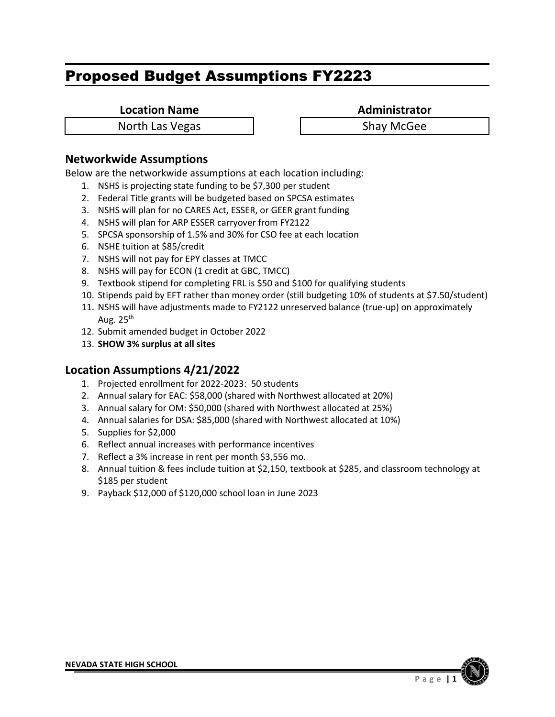**Location Name Administrator** 

North Las Vegas North Las Vegas

### **Networkwide Assumptions**

Below are the networkwide assumptions at each location including:

- 1. NSHS is projecting state funding to be \$7,300 per student
- 2. Federal Title grants will be budgeted based on SPCSA estimates
- 3. NSHS will plan for no CARES Act, ESSER, or GEER grant funding
- 4. NSHS will plan for ARP ESSER carryover from FY2122
- 5. SPCSA sponsorship of 1.5% and 30% for CSO fee at each location
- 6. NSHE tuition at \$85/credit
- 7. NSHS will not pay for EPY classes at TMCC
- 8. NSHS will pay for ECON (1 credit at GBC, TMCC)
- 9. Textbook stipend for completing FRL is \$50 and \$100 for qualifying students
- 10. Stipends paid by EFT rather than money order (still budgeting 10% of students at \$7.50/student)
- 11. NSHS will have adjustments made to FY2122 unreserved balance (true-up) on approximately Aug.  $25<sup>th</sup>$
- 12. Submit amended budget in October 2022
- 13. **SHOW 3% surplus at all sites**

- 1. Projected enrollment for 2022-2023: 50 students
- 2. Annual salary for EAC: \$58,000 (shared with Northwest allocated at 20%)
- 3. Annual salary for OM: \$50,000 (shared with Northwest allocated at 25%)
- 4. Annual salaries for DSA: \$85,000 (shared with Northwest allocated at 10%)
- 5. Supplies for \$2,000
- 6. Reflect annual increases with performance incentives
- 7. Reflect a 3% increase in rent per month \$3,556 mo.
- 8. Annual tuition & fees include tuition at \$2,150, textbook at \$285, and classroom technology at \$185 per student
- 9. Payback \$12,000 of \$120,000 school loan in June 2023

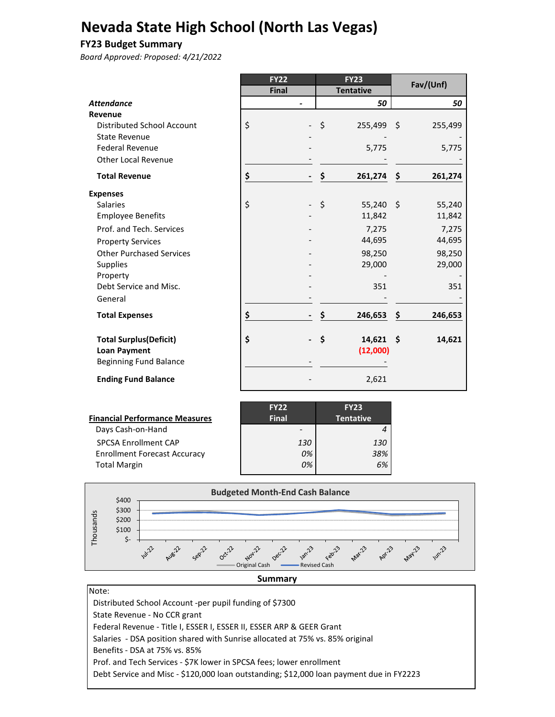# **Nevada State High School (North Las Vegas)**

#### **FY23 Budget Summary**

*Board Approved: Proposed: 4/21/2022*

|                                 | <b>FY22</b>  | <b>FY23</b>       | Fav/(Unf)      |
|---------------------------------|--------------|-------------------|----------------|
|                                 | <b>Final</b> | <b>Tentative</b>  |                |
| <b>Attendance</b>               |              | 50                | 50             |
| Revenue                         |              |                   |                |
| Distributed School Account      | \$           | \$<br>255,499 \$  | 255,499        |
| <b>State Revenue</b>            |              |                   |                |
| <b>Federal Revenue</b>          |              | 5,775             | 5,775          |
| <b>Other Local Revenue</b>      |              |                   |                |
| <b>Total Revenue</b>            | \$           | \$<br>261,274     | -\$<br>261,274 |
| <b>Expenses</b>                 |              |                   |                |
| <b>Salaries</b>                 | \$           | \$<br>$55,240$ \$ | 55,240         |
| <b>Employee Benefits</b>        |              | 11,842            | 11,842         |
| Prof. and Tech. Services        |              | 7,275             | 7,275          |
| <b>Property Services</b>        |              | 44,695            | 44,695         |
| <b>Other Purchased Services</b> |              | 98,250            | 98,250         |
| <b>Supplies</b>                 |              | 29,000            | 29,000         |
| Property                        |              |                   |                |
| Debt Service and Misc.          |              | 351               | 351            |
| General                         |              |                   |                |
| <b>Total Expenses</b>           | \$           | \$<br>246,653     | \$<br>246,653  |
| <b>Total Surplus (Deficit)</b>  | \$           | \$<br>14,621      | - \$<br>14,621 |
| <b>Loan Payment</b>             |              | (12,000)          |                |
| <b>Beginning Fund Balance</b>   |              |                   |                |
| <b>Ending Fund Balance</b>      |              | 2,621             |                |

| <b>Financial Performance Measures</b> |
|---------------------------------------|
| Days Cash-on-Hand                     |
| <b>SPCSA Enrollment CAP</b>           |
| <b>Enrollment Forecast Accuracy</b>   |
| <b>Total Margin</b>                   |

|                                       | <b>FY22</b>  | <b>FY23</b> |
|---------------------------------------|--------------|-------------|
| <b>Financial Performance Measures</b> | <b>Final</b> | Tentative   |
| Days Cash-on-Hand                     |              |             |
| <b>SPCSA Enrollment CAP</b>           | 130          | 130         |
| <b>Enrollment Forecast Accuracy</b>   | 0%           | 38%         |
| <b>Total Margin</b>                   | 0%           | 6%          |



#### **Summary**

Note: Distributed School Account ‐per pupil funding of \$7300 State Revenue ‐ No CCR grant Federal Revenue ‐ Title I, ESSER I, ESSER II, ESSER ARP & GEER Grant Salaries ‐ DSA position shared with Sunrise allocated at 75% vs. 85% original Benefits ‐ DSA at 75% vs. 85% Prof. and Tech Services ‐ \$7K lower in SPCSA fees; lower enrollment Debt Service and Misc ‐ \$120,000 loan outstanding; \$12,000 loan payment due in FY2223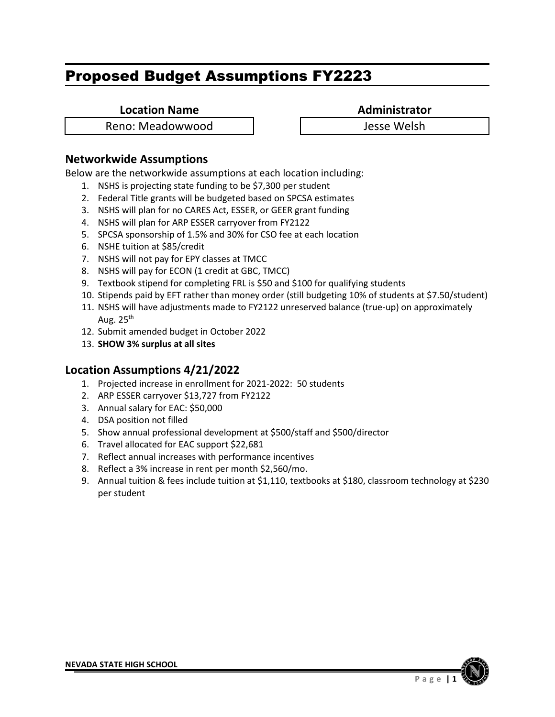**Location Name Administrator** 

Reno: Meadowwood Jesse Welsh

# **Networkwide Assumptions**

Below are the networkwide assumptions at each location including:

- 1. NSHS is projecting state funding to be \$7,300 per student
- 2. Federal Title grants will be budgeted based on SPCSA estimates
- 3. NSHS will plan for no CARES Act, ESSER, or GEER grant funding
- 4. NSHS will plan for ARP ESSER carryover from FY2122
- 5. SPCSA sponsorship of 1.5% and 30% for CSO fee at each location
- 6. NSHE tuition at \$85/credit
- 7. NSHS will not pay for EPY classes at TMCC
- 8. NSHS will pay for ECON (1 credit at GBC, TMCC)
- 9. Textbook stipend for completing FRL is \$50 and \$100 for qualifying students
- 10. Stipends paid by EFT rather than money order (still budgeting 10% of students at \$7.50/student)
- 11. NSHS will have adjustments made to FY2122 unreserved balance (true-up) on approximately Aug.  $25<sup>th</sup>$
- 12. Submit amended budget in October 2022
- 13. **SHOW 3% surplus at all sites**

- 1. Projected increase in enrollment for 2021-2022: 50 students
- 2. ARP ESSER carryover \$13,727 from FY2122
- 3. Annual salary for EAC: \$50,000
- 4. DSA position not filled
- 5. Show annual professional development at \$500/staff and \$500/director
- 6. Travel allocated for EAC support \$22,681
- 7. Reflect annual increases with performance incentives
- 8. Reflect a 3% increase in rent per month \$2,560/mo.
- 9. Annual tuition & fees include tuition at \$1,110, textbooks at \$180, classroom technology at \$230 per student